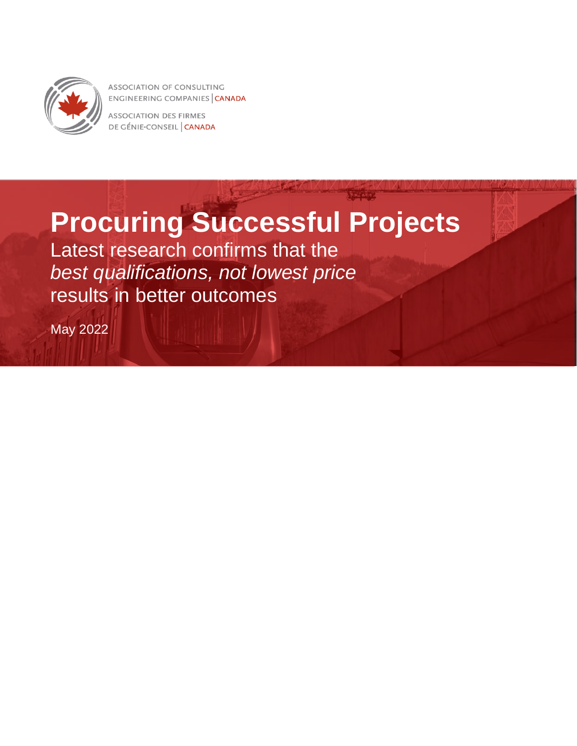

**ASSOCIATION OF CONSULTING** ENGINEERING COMPANIES CANADA

**ASSOCIATION DES FIRMES** DE GÉNIE-CONSEIL CANADA

# **Procuring Successful Projects**

Latest research confirms that the *best qualifications, not lowest price* results in better outcomes

May 2022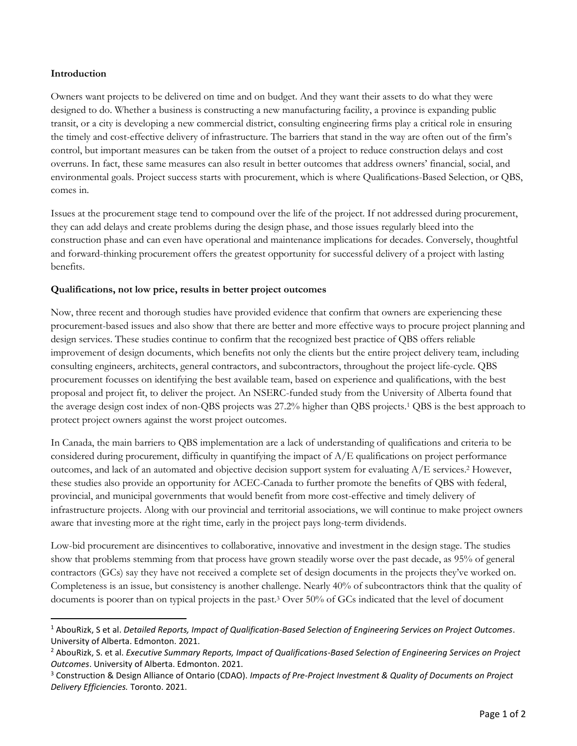#### **Introduction**

Owners want projects to be delivered on time and on budget. And they want their assets to do what they were designed to do. Whether a business is constructing a new manufacturing facility, a province is expanding public transit, or a city is developing a new commercial district, consulting engineering firms play a critical role in ensuring the timely and cost-effective delivery of infrastructure. The barriers that stand in the way are often out of the firm's control, but important measures can be taken from the outset of a project to reduce construction delays and cost overruns. In fact, these same measures can also result in better outcomes that address owners' financial, social, and environmental goals. Project success starts with procurement, which is where Qualifications-Based Selection, or QBS, comes in.

Issues at the procurement stage tend to compound over the life of the project. If not addressed during procurement, they can add delays and create problems during the design phase, and those issues regularly bleed into the construction phase and can even have operational and maintenance implications for decades. Conversely, thoughtful and forward-thinking procurement offers the greatest opportunity for successful delivery of a project with lasting benefits.

#### **Qualifications, not low price, results in better project outcomes**

Now, three recent and thorough studies have provided evidence that confirm that owners are experiencing these procurement-based issues and also show that there are better and more effective ways to procure project planning and design services. These studies continue to confirm that the recognized best practice of QBS offers reliable improvement of design documents, which benefits not only the clients but the entire project delivery team, including consulting engineers, architects, general contractors, and subcontractors, throughout the project life-cycle. QBS procurement focusses on identifying the best available team, based on experience and qualifications, with the best proposal and project fit, to deliver the project. An NSERC-funded study from the University of Alberta found that the average design cost index of non-QBS projects was 27.2% higher than QBS projects.<sup>1</sup> QBS is the best approach to protect project owners against the worst project outcomes.

In Canada, the main barriers to QBS implementation are a lack of understanding of qualifications and criteria to be considered during procurement, difficulty in quantifying the impact of A/E qualifications on project performance outcomes, and lack of an automated and objective decision support system for evaluating  $A/E$  services.<sup>2</sup> However, these studies also provide an opportunity for ACEC-Canada to further promote the benefits of QBS with federal, provincial, and municipal governments that would benefit from more cost-effective and timely delivery of infrastructure projects. Along with our provincial and territorial associations, we will continue to make project owners aware that investing more at the right time, early in the project pays long-term dividends.

Low-bid procurement are disincentives to collaborative, innovative and investment in the design stage. The studies show that problems stemming from that process have grown steadily worse over the past decade, as 95% of general contractors (GCs) say they have not received a complete set of design documents in the projects they've worked on. Completeness is an issue, but consistency is another challenge. Nearly 40% of subcontractors think that the quality of documents is poorer than on typical projects in the past.<sup>3</sup> Over 50% of GCs indicated that the level of document

<sup>1</sup> AbouRizk, S et al. *Detailed Reports, Impact of Qualification-Based Selection of Engineering Services on Project Outcomes*. University of Alberta. Edmonton. 2021.

<sup>2</sup> AbouRizk, S. et al. *Executive Summary Reports, Impact of Qualifications-Based Selection of Engineering Services on Project Outcomes*. University of Alberta. Edmonton. 2021.

<sup>3</sup> Construction & Design Alliance of Ontario (CDAO). *Impacts of Pre-Project Investment & Quality of Documents on Project Delivery Efficiencies.* Toronto. 2021.